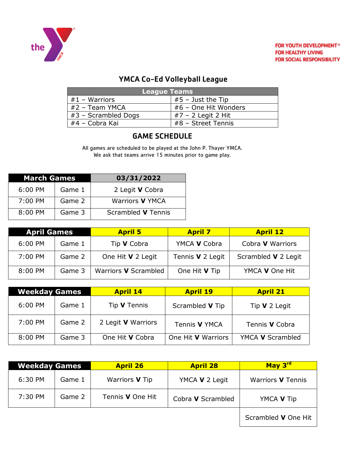

# YMCA Co-Ed Volleyball League

| League Teams        |                      |  |
|---------------------|----------------------|--|
| $#1 - Warriors$     | $#5$ – Just the Tip  |  |
| #2 - Team YMCA      | #6 - One Hit Wonders |  |
| #3 - Scrambled Dogs | $#7 - 2$ Legit 2 Hit |  |
| #4 - Cobra Kai      | $#8$ – Street Tennis |  |

# GAME SCHEDULE

All games are scheduled to be played at the John P. Thayer YMCA. We ask that teams arrive 15 minutes prior to game play.

| <b>March Games</b> |        | 03/31/2022             |
|--------------------|--------|------------------------|
| 6:00 PM            | Game 1 | 2 Legit <b>V</b> Cobra |
| $7:00$ PM          | Game 2 | Warriors <b>V</b> YMCA |
| $8:00$ PM          | Game 3 | Scrambled V Tennis     |

| <b>April Games</b>  |        | <b>April 5</b>       | <b>April 7</b>          | <b>April 12</b>         |
|---------------------|--------|----------------------|-------------------------|-------------------------|
| $6:00 \, \text{PM}$ | Game 1 | Tip <b>V</b> Cobra   | YMCA V Cobra            | Cobra <b>V</b> Warriors |
| 7:00 PM             | Game 2 | One Hit V 2 Legit    | Tennis <b>V</b> 2 Legit | Scrambled V 2 Legit     |
| 8:00 PM             | Game 3 | Warriors V Scrambled | One Hit V Tip           | YMCA V One Hit          |

| <b>Weekday Games</b> |        | <b>April 14</b>           | <b>April 19</b>           | <b>April 21</b>       |
|----------------------|--------|---------------------------|---------------------------|-----------------------|
| 6:00 PM              | Game 1 | Tip <b>V</b> Tennis       | Scrambled V Tip           | Tip $V$ 2 Legit       |
| 7:00 PM              | Game 2 | 2 Legit <b>V</b> Warriors | Tennis V YMCA             | Tennis <b>V</b> Cobra |
| 8:00 PM              | Game 3 | One Hit V Cobra           | One Hit <b>V</b> Warriors | YMCA V Scrambled      |

| <b>Weekday Games</b> |        | <b>April 26</b>         | <b>April 28</b>   | May 3rd                  |
|----------------------|--------|-------------------------|-------------------|--------------------------|
| 6:30 PM              | Game 1 | Warriors V Tip          | YMCA V 2 Legit    | Warriors <b>V</b> Tennis |
| 7:30 PM              | Game 2 | Tennis <b>V</b> One Hit | Cobra V Scrambled | YMCA V Tip               |
|                      |        |                         |                   | Scrambled V One Hit      |